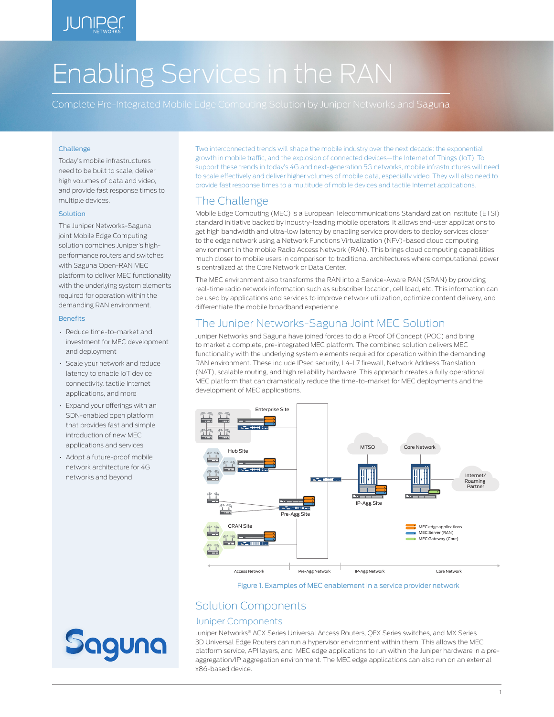# Enabling Services in the RAN

Complete Pre-Integrated Mobile Edge Computing Solution by Juniper Networks and Saguna

## Challenge

Today's mobile infrastructures need to be built to scale, deliver high volumes of data and video, and provide fast response times to multiple devices.

### Solution

The Juniper Networks-Saguna joint Mobile Edge Computing solution combines Juniper's highperformance routers and switches with Saguna Open-RAN MEC platform to deliver MEC functionality with the underlying system elements required for operation within the demanding RAN environment.

#### **Benefits**

- Reduce time-to-market and investment for MEC development and deployment
- Scale your network and reduce latency to enable IoT device connectivity, tactile Internet applications, and more
- Expand your offerings with an SDN-enabled open platform that provides fast and simple introduction of new MEC applications and services
- Adopt a future-proof mobile network architecture for 4G networks and beyond

Two interconnected trends will shape the mobile industry over the next decade: the exponential growth in mobile traffic, and the explosion of connected devices—the Internet of Things (IoT). To support these trends in today's 4G and next-generation 5G networks, mobile infrastructures will need to scale effectively and deliver higher volumes of mobile data, especially video. They will also need to provide fast response times to a multitude of mobile devices and tactile Internet applications.

# The Challenge

Mobile Edge Computing (MEC) is a European Telecommunications Standardization Institute (ETSI) standard initiative backed by industry-leading mobile operators. It allows end-user applications to get high bandwidth and ultra-low latency by enabling service providers to deploy services closer to the edge network using a Network Functions Virtualization (NFV)-based cloud computing environment in the mobile Radio Access Network (RAN). This brings cloud computing capabilities much closer to mobile users in comparison to traditional architectures where computational power is centralized at the Core Network or Data Center.

The MEC environment also transforms the RAN into a Service-Aware RAN (SRAN) by providing real-time radio network information such as subscriber location, cell load, etc. This information can be used by applications and services to improve network utilization, optimize content delivery, and differentiate the mobile broadband experience.

## The Juniper Networks-Saguna Joint MEC Solution

Juniper Networks and Saguna have joined forces to do a Proof Of Concept (POC) and bring to market a complete, pre-integrated MEC platform. The combined solution delivers MEC functionality with the underlying system elements required for operation within the demanding RAN environment. These include IPsec security, L4-L7 firewall, Network Address Translation (NAT), scalable routing, and high reliability hardware. This approach creates a fully operational MEC platform that can dramatically reduce the time-to-market for MEC deployments and the development of MEC applications.



#### Figure 1. Examples of MEC enablement in a service provider network

# Solution Components

## Juniper Components

Juniper Networks® ACX Series Universal Access Routers, QFX Series switches, and MX Series 3D Universal Edge Routers can run a hypervisor environment within them. This allows the MEC platform service, API layers, and MEC edge applications to run within the Juniper hardware in a preaggregation/IP aggregation environment. The MEC edge applications can also run on an external x86-based device.